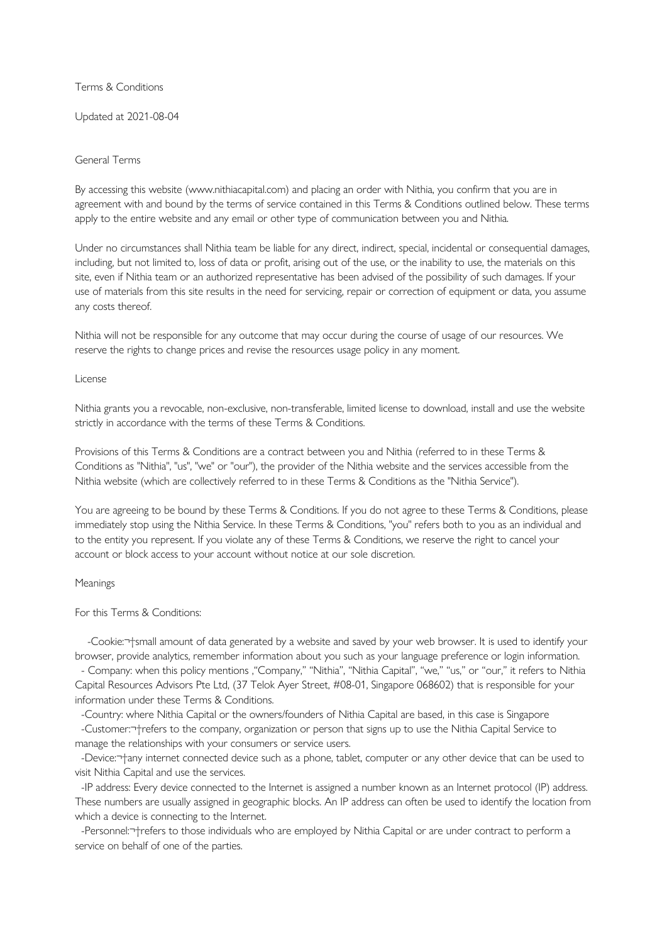Terms & Conditions

Updated at 2021-08-04

# General Terms

By accessing this website (www.nithiacapital.com) and placing an order with Nithia, you confirm that you are in agreement with and bound by the terms of service contained in this Terms & Conditions outlined below. These terms apply to the entire website and any email or other type of communication between you and Nithia.

Under no circumstances shall Nithia team be liable for any direct, indirect, special, incidental or consequential damages, including, but not limited to, loss of data or profit, arising out of the use, or the inability to use, the materials on this site, even if Nithia team or an authorized representative has been advised of the possibility of such damages. If your use of materials from this site results in the need for servicing, repair or correction of equipment or data, you assume any costs thereof.

Nithia will not be responsible for any outcome that may occur during the course of usage of our resources. We reserve the rights to change prices and revise the resources usage policy in any moment.

License

Nithia grants you a revocable, non-exclusive, non-transferable, limited license to download, install and use the website strictly in accordance with the terms of these Terms & Conditions.

Provisions of this Terms & Conditions are a contract between you and Nithia (referred to in these Terms & Conditions as "Nithia", "us", "we" or "our"), the provider of the Nithia website and the services accessible from the Nithia website (which are collectively referred to in these Terms & Conditions as the "Nithia Service").

You are agreeing to be bound by these Terms & Conditions. If you do not agree to these Terms & Conditions, please immediately stop using the Nithia Service. In these Terms & Conditions, "you" refers both to you as an individual and to the entity you represent. If you violate any of these Terms & Conditions, we reserve the right to cancel your account or block access to your account without notice at our sole discretion.

# Meanings

For this Terms & Conditions:

-Cookie:<sup>-+</sup>small amount of data generated by a website and saved by your web browser. It is used to identify your browser, provide analytics, remember information about you such as your language preference or login information.

- Company: when this policy mentions ,"Company," "Nithia", "Nithia Capital", "we," "us," or "our," it refers to Nithia Capital Resources Advisors Pte Ltd, (37 Telok Ayer Street, #08-01, Singapore 068602) that is responsible for your information under these Terms & Conditions.

-Country: where Nithia Capital or the owners/founders of Nithia Capital are based, in this case is Singapore

-Customer: + refers to the company, organization or person that signs up to use the Nithia Capital Service to manage the relationships with your consumers or service users.

-Device:  $\tau$  any internet connected device such as a phone, tablet, computer or any other device that can be used to visit Nithia Capital and use the services.

 -IP address: Every device connected to the Internet is assigned a number known as an Internet protocol (IP) address. These numbers are usually assigned in geographic blocks. An IP address can often be used to identify the location from which a device is connecting to the Internet.

-Personnel: -+ refers to those individuals who are employed by Nithia Capital or are under contract to perform a service on behalf of one of the parties.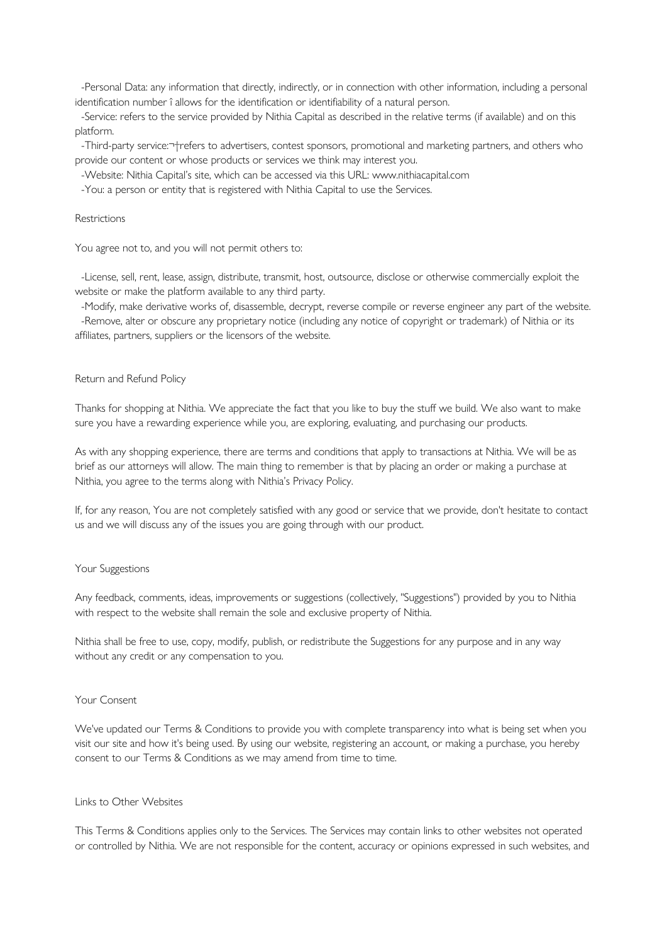-Personal Data: any information that directly, indirectly, or in connection with other information, including a personal identification number î allows for the identification or identifiability of a natural person.

 -Service: refers to the service provided by Nithia Capital as described in the relative terms (if available) and on this platform.

-Third-party service: T-refers to advertisers, contest sponsors, promotional and marketing partners, and others who provide our content or whose products or services we think may interest you.

-Website: Nithia Capital's site, which can be accessed via this URL: www.nithiacapital.com

-You: a person or entity that is registered with Nithia Capital to use the Services.

#### Restrictions

You agree not to, and you will not permit others to:

 -License, sell, rent, lease, assign, distribute, transmit, host, outsource, disclose or otherwise commercially exploit the website or make the platform available to any third party.

 -Modify, make derivative works of, disassemble, decrypt, reverse compile or reverse engineer any part of the website. -Remove, alter or obscure any proprietary notice (including any notice of copyright or trademark) of Nithia or its affiliates, partners, suppliers or the licensors of the website.

## Return and Refund Policy

Thanks for shopping at Nithia. We appreciate the fact that you like to buy the stuff we build. We also want to make sure you have a rewarding experience while you, are exploring, evaluating, and purchasing our products.

As with any shopping experience, there are terms and conditions that apply to transactions at Nithia. We will be as brief as our attorneys will allow. The main thing to remember is that by placing an order or making a purchase at Nithia, you agree to the terms along with Nithia's Privacy Policy.

If, for any reason, You are not completely satisfied with any good or service that we provide, don't hesitate to contact us and we will discuss any of the issues you are going through with our product.

# Your Suggestions

Any feedback, comments, ideas, improvements or suggestions (collectively, "Suggestions") provided by you to Nithia with respect to the website shall remain the sole and exclusive property of Nithia.

Nithia shall be free to use, copy, modify, publish, or redistribute the Suggestions for any purpose and in any way without any credit or any compensation to you.

### Your Consent

We've updated our Terms & Conditions to provide you with complete transparency into what is being set when you visit our site and how it's being used. By using our website, registering an account, or making a purchase, you hereby consent to our Terms & Conditions as we may amend from time to time.

# Links to Other Websites

This Terms & Conditions applies only to the Services. The Services may contain links to other websites not operated or controlled by Nithia. We are not responsible for the content, accuracy or opinions expressed in such websites, and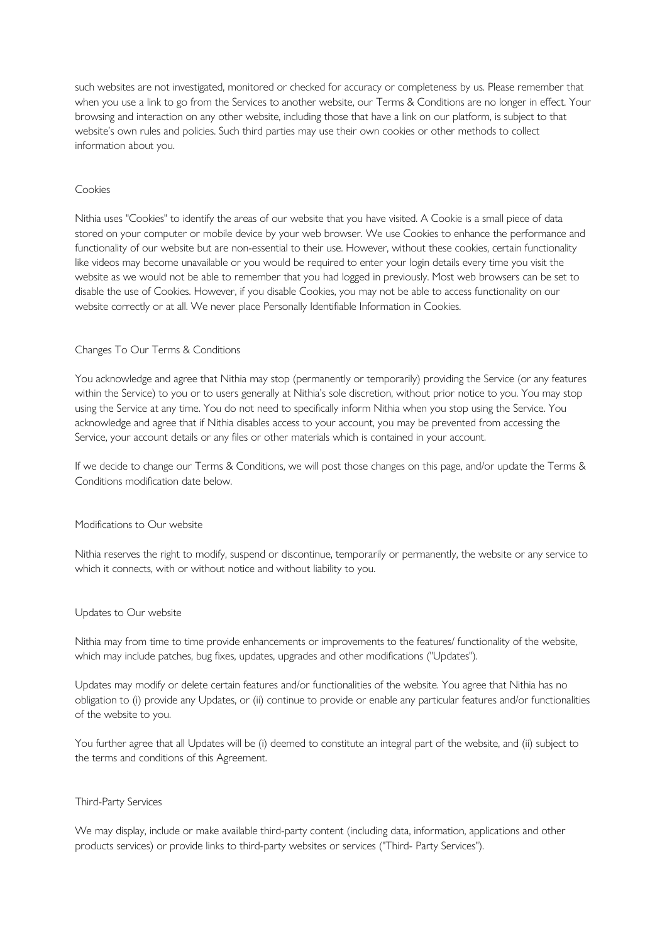such websites are not investigated, monitored or checked for accuracy or completeness by us. Please remember that when you use a link to go from the Services to another website, our Terms & Conditions are no longer in effect. Your browsing and interaction on any other website, including those that have a link on our platform, is subject to that website's own rules and policies. Such third parties may use their own cookies or other methods to collect information about you.

# Cookies

Nithia uses "Cookies" to identify the areas of our website that you have visited. A Cookie is a small piece of data stored on your computer or mobile device by your web browser. We use Cookies to enhance the performance and functionality of our website but are non-essential to their use. However, without these cookies, certain functionality like videos may become unavailable or you would be required to enter your login details every time you visit the website as we would not be able to remember that you had logged in previously. Most web browsers can be set to disable the use of Cookies. However, if you disable Cookies, you may not be able to access functionality on our website correctly or at all. We never place Personally Identifiable Information in Cookies.

# Changes To Our Terms & Conditions

You acknowledge and agree that Nithia may stop (permanently or temporarily) providing the Service (or any features within the Service) to you or to users generally at Nithia's sole discretion, without prior notice to you. You may stop using the Service at any time. You do not need to specifically inform Nithia when you stop using the Service. You acknowledge and agree that if Nithia disables access to your account, you may be prevented from accessing the Service, your account details or any files or other materials which is contained in your account.

If we decide to change our Terms & Conditions, we will post those changes on this page, and/or update the Terms & Conditions modification date below.

# Modifications to Our website

Nithia reserves the right to modify, suspend or discontinue, temporarily or permanently, the website or any service to which it connects, with or without notice and without liability to you.

# Updates to Our website

Nithia may from time to time provide enhancements or improvements to the features/ functionality of the website, which may include patches, bug fixes, updates, upgrades and other modifications ("Updates").

Updates may modify or delete certain features and/or functionalities of the website. You agree that Nithia has no obligation to (i) provide any Updates, or (ii) continue to provide or enable any particular features and/or functionalities of the website to you.

You further agree that all Updates will be (i) deemed to constitute an integral part of the website, and (ii) subject to the terms and conditions of this Agreement.

# Third-Party Services

We may display, include or make available third-party content (including data, information, applications and other products services) or provide links to third-party websites or services ("Third- Party Services").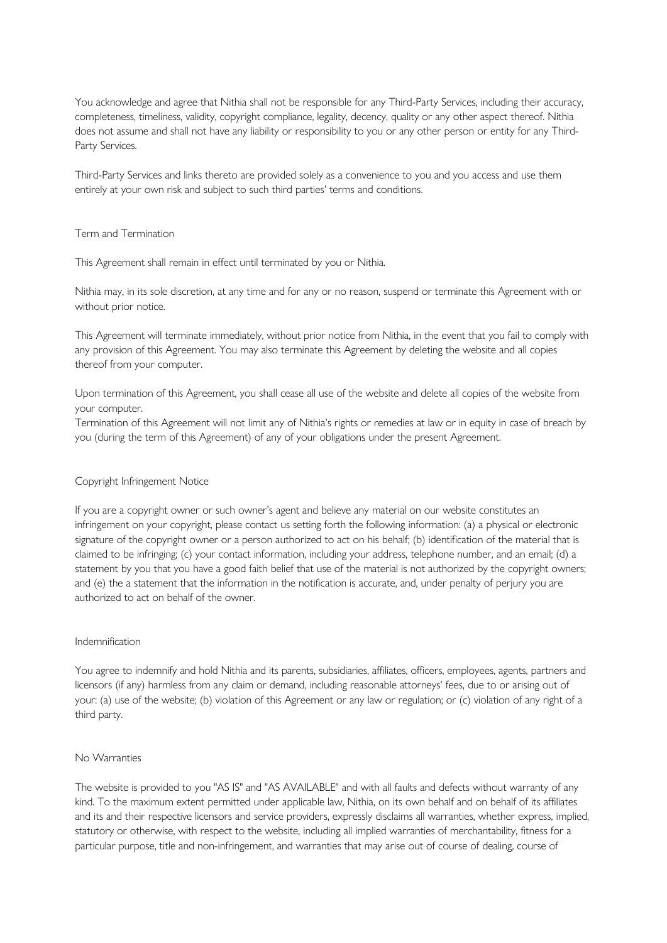You acknowledge and agree that Nithia shall not be responsible for any Third-Party Services, including their accuracy, completeness, timeliness, validity, copyright compliance, legality, decency, quality or any other aspect thereof. Nithia does not assume and shall not have any liability or responsibility to you or any other person or entity for any Third-Party Services.

Third-Party Services and links thereto are provided solely as a convenience to you and you access and use them entirely at your own risk and subject to such third parties' terms and conditions.

## Term and Termination

This Agreement shall remain in effect until terminated by you or Nithia.

Nithia may, in its sole discretion, at any time and for any or no reason, suspend or terminate this Agreement with or without prior notice.

This Agreement will terminate immediately, without prior notice from Nithia, in the event that you fail to comply with any provision of this Agreement. You may also terminate this Agreement by deleting the website and all copies thereof from your computer.

Upon termination of this Agreement, you shall cease all use of the website and delete all copies of the website from your computer.

Termination of this Agreement will not limit any of Nithia's rights or remedies at law or in equity in case of breach by you (during the term of this Agreement) of any of your obligations under the present Agreement.

### Copyright Infringement Notice

If you are a copyright owner or such owner's agent and believe any material on our website constitutes an infringement on your copyright, please contact us setting forth the following information: (a) a physical or electronic signature of the copyright owner or a person authorized to act on his behalf; (b) identification of the material that is claimed to be infringing; (c) your contact information, including your address, telephone number, and an email; (d) a statement by you that you have a good faith belief that use of the material is not authorized by the copyright owners; and (e) the a statement that the information in the notification is accurate, and, under penalty of perjury you are authorized to act on behalf of the owner.

### Indemnification

You agree to indemnify and hold Nithia and its parents, subsidiaries, affiliates, officers, employees, agents, partners and licensors (if any) harmless from any claim or demand, including reasonable attorneys' fees, due to or arising out of your: (a) use of the website; (b) violation of this Agreement or any law or regulation; or (c) violation of any right of a third party.

### No Warranties

The website is provided to you "AS IS" and "AS AVAILABLE" and with all faults and defects without warranty of any kind. To the maximum extent permitted under applicable law, Nithia, on its own behalf and on behalf of its affiliates and its and their respective licensors and service providers, expressly disclaims all warranties, whether express, implied, statutory or otherwise, with respect to the website, including all implied warranties of merchantability, fitness for a particular purpose, title and non-infringement, and warranties that may arise out of course of dealing, course of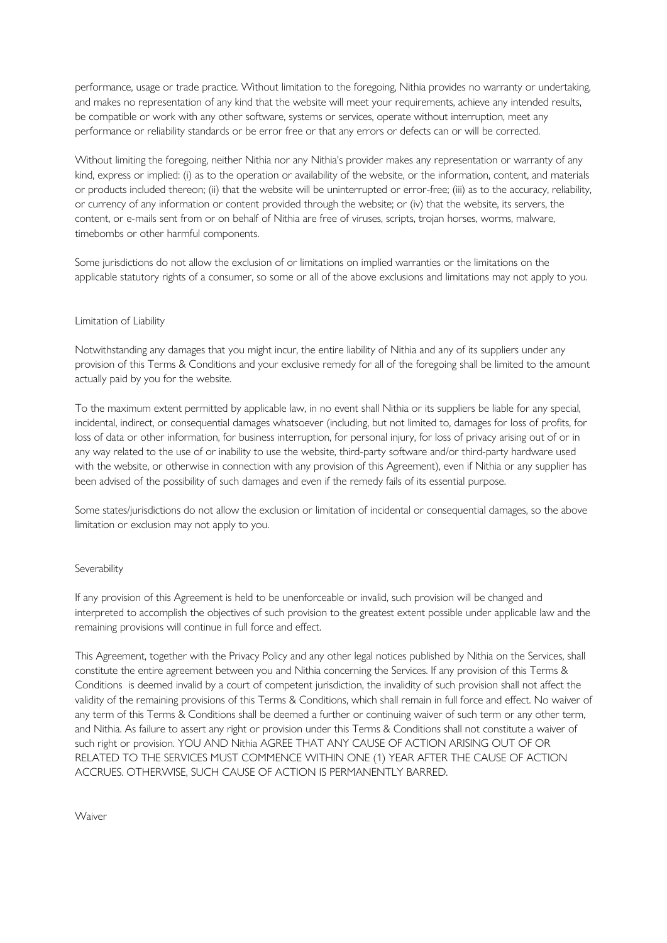performance, usage or trade practice. Without limitation to the foregoing, Nithia provides no warranty or undertaking, and makes no representation of any kind that the website will meet your requirements, achieve any intended results, be compatible or work with any other software, systems or services, operate without interruption, meet any performance or reliability standards or be error free or that any errors or defects can or will be corrected.

Without limiting the foregoing, neither Nithia nor any Nithia's provider makes any representation or warranty of any kind, express or implied: (i) as to the operation or availability of the website, or the information, content, and materials or products included thereon; (ii) that the website will be uninterrupted or error-free; (iii) as to the accuracy, reliability, or currency of any information or content provided through the website; or (iv) that the website, its servers, the content, or e-mails sent from or on behalf of Nithia are free of viruses, scripts, trojan horses, worms, malware, timebombs or other harmful components.

Some jurisdictions do not allow the exclusion of or limitations on implied warranties or the limitations on the applicable statutory rights of a consumer, so some or all of the above exclusions and limitations may not apply to you.

# Limitation of Liability

Notwithstanding any damages that you might incur, the entire liability of Nithia and any of its suppliers under any provision of this Terms & Conditions and your exclusive remedy for all of the foregoing shall be limited to the amount actually paid by you for the website.

To the maximum extent permitted by applicable law, in no event shall Nithia or its suppliers be liable for any special, incidental, indirect, or consequential damages whatsoever (including, but not limited to, damages for loss of profits, for loss of data or other information, for business interruption, for personal injury, for loss of privacy arising out of or in any way related to the use of or inability to use the website, third-party software and/or third-party hardware used with the website, or otherwise in connection with any provision of this Agreement), even if Nithia or any supplier has been advised of the possibility of such damages and even if the remedy fails of its essential purpose.

Some states/jurisdictions do not allow the exclusion or limitation of incidental or consequential damages, so the above limitation or exclusion may not apply to you.

# Severability

If any provision of this Agreement is held to be unenforceable or invalid, such provision will be changed and interpreted to accomplish the objectives of such provision to the greatest extent possible under applicable law and the remaining provisions will continue in full force and effect.

This Agreement, together with the Privacy Policy and any other legal notices published by Nithia on the Services, shall constitute the entire agreement between you and Nithia concerning the Services. If any provision of this Terms & Conditions is deemed invalid by a court of competent jurisdiction, the invalidity of such provision shall not affect the validity of the remaining provisions of this Terms & Conditions, which shall remain in full force and effect. No waiver of any term of this Terms & Conditions shall be deemed a further or continuing waiver of such term or any other term, and Nithia. As failure to assert any right or provision under this Terms & Conditions shall not constitute a waiver of such right or provision. YOU AND Nithia AGREE THAT ANY CAUSE OF ACTION ARISING OUT OF OR RELATED TO THE SERVICES MUST COMMENCE WITHIN ONE (1) YEAR AFTER THE CAUSE OF ACTION ACCRUES. OTHERWISE, SUCH CAUSE OF ACTION IS PERMANENTLY BARRED.

**Waiver**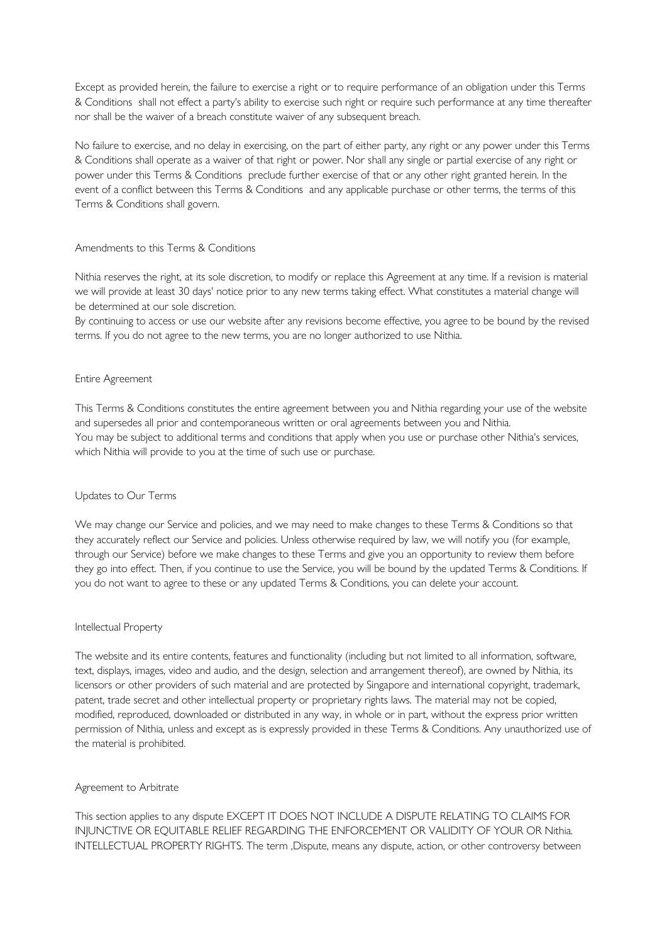Except as provided herein, the failure to exercise a right or to require performance of an obligation under this Terms & Conditions shall not effect a party's ability to exercise such right or require such performance at any time thereafter nor shall be the waiver of a breach constitute waiver of any subsequent breach.

No failure to exercise, and no delay in exercising, on the part of either party, any right or any power under this Terms & Conditions shall operate as a waiver of that right or power. Nor shall any single or partial exercise of any right or power under this Terms & Conditions preclude further exercise of that or any other right granted herein. In the event of a conflict between this Terms & Conditions and any applicable purchase or other terms, the terms of this Terms & Conditions shall govern.

# Amendments to this Terms & Conditions

Nithia reserves the right, at its sole discretion, to modify or replace this Agreement at any time. If a revision is material we will provide at least 30 days' notice prior to any new terms taking effect. What constitutes a material change will be determined at our sole discretion.

By continuing to access or use our website after any revisions become effective, you agree to be bound by the revised terms. If you do not agree to the new terms, you are no longer authorized to use Nithia.

# Entire Agreement

This Terms & Conditions constitutes the entire agreement between you and Nithia regarding your use of the website and supersedes all prior and contemporaneous written or oral agreements between you and Nithia. You may be subject to additional terms and conditions that apply when you use or purchase other Nithia's services, which Nithia will provide to you at the time of such use or purchase.

# Updates to Our Terms

We may change our Service and policies, and we may need to make changes to these Terms & Conditions so that they accurately reflect our Service and policies. Unless otherwise required by law, we will notify you (for example, through our Service) before we make changes to these Terms and give you an opportunity to review them before they go into effect. Then, if you continue to use the Service, you will be bound by the updated Terms & Conditions. If you do not want to agree to these or any updated Terms & Conditions, you can delete your account.

## Intellectual Property

The website and its entire contents, features and functionality (including but not limited to all information, software, text, displays, images, video and audio, and the design, selection and arrangement thereof), are owned by Nithia, its licensors or other providers of such material and are protected by Singapore and international copyright, trademark, patent, trade secret and other intellectual property or proprietary rights laws. The material may not be copied, modified, reproduced, downloaded or distributed in any way, in whole or in part, without the express prior written permission of Nithia, unless and except as is expressly provided in these Terms & Conditions. Any unauthorized use of the material is prohibited.

### Agreement to Arbitrate

This section applies to any dispute EXCEPT IT DOES NOT INCLUDE A DISPUTE RELATING TO CLAIMS FOR INJUNCTIVE OR EQUITABLE RELIEF REGARDING THE ENFORCEMENT OR VALIDITY OF YOUR OR Nithia. INTELLECTUAL PROPERTY RIGHTS. The term , Dispute, means any dispute, action, or other controversy between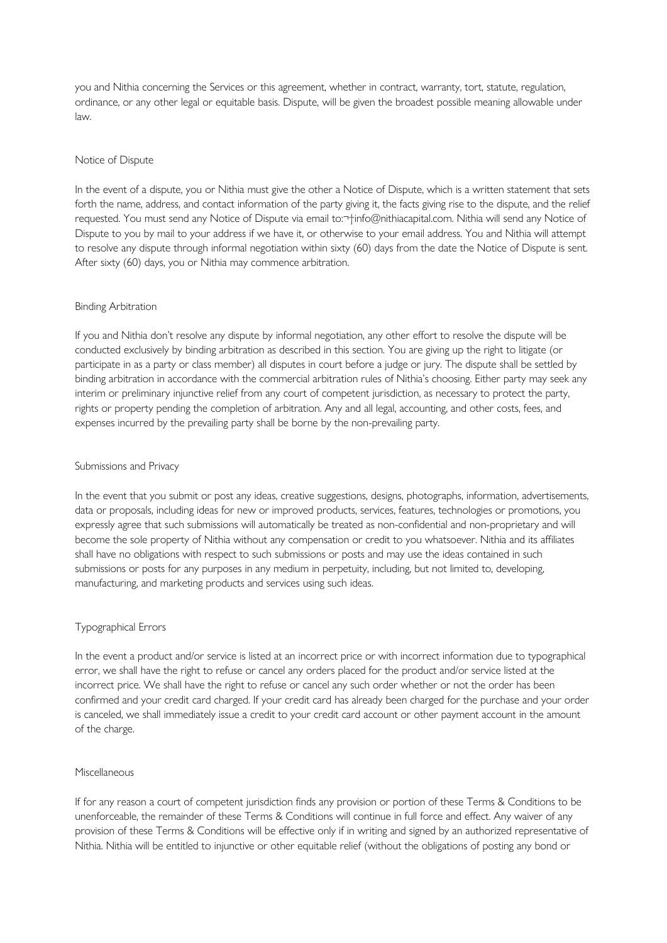you and Nithia concerning the Services or this agreement, whether in contract, warranty, tort, statute, regulation, ordinance, or any other legal or equitable basis. Dispute, will be given the broadest possible meaning allowable under law.

## Notice of Dispute

In the event of a dispute, you or Nithia must give the other a Notice of Dispute, which is a written statement that sets forth the name, address, and contact information of the party giving it, the facts giving rise to the dispute, and the relief requested. You must send any Notice of Dispute via email to:<sup>-+</sup>info@nithiacapital.com. Nithia will send any Notice of Dispute to you by mail to your address if we have it, or otherwise to your email address. You and Nithia will attempt to resolve any dispute through informal negotiation within sixty (60) days from the date the Notice of Dispute is sent. After sixty (60) days, you or Nithia may commence arbitration.

### Binding Arbitration

If you and Nithia don't resolve any dispute by informal negotiation, any other effort to resolve the dispute will be conducted exclusively by binding arbitration as described in this section. You are giving up the right to litigate (or participate in as a party or class member) all disputes in court before a judge or jury. The dispute shall be settled by binding arbitration in accordance with the commercial arbitration rules of Nithia's choosing. Either party may seek any interim or preliminary injunctive relief from any court of competent jurisdiction, as necessary to protect the party, rights or property pending the completion of arbitration. Any and all legal, accounting, and other costs, fees, and expenses incurred by the prevailing party shall be borne by the non-prevailing party.

### Submissions and Privacy

In the event that you submit or post any ideas, creative suggestions, designs, photographs, information, advertisements, data or proposals, including ideas for new or improved products, services, features, technologies or promotions, you expressly agree that such submissions will automatically be treated as non-confidential and non-proprietary and will become the sole property of Nithia without any compensation or credit to you whatsoever. Nithia and its affiliates shall have no obligations with respect to such submissions or posts and may use the ideas contained in such submissions or posts for any purposes in any medium in perpetuity, including, but not limited to, developing, manufacturing, and marketing products and services using such ideas.

# Typographical Errors

In the event a product and/or service is listed at an incorrect price or with incorrect information due to typographical error, we shall have the right to refuse or cancel any orders placed for the product and/or service listed at the incorrect price. We shall have the right to refuse or cancel any such order whether or not the order has been confirmed and your credit card charged. If your credit card has already been charged for the purchase and your order is canceled, we shall immediately issue a credit to your credit card account or other payment account in the amount of the charge.

### Miscellaneous

If for any reason a court of competent jurisdiction finds any provision or portion of these Terms & Conditions to be unenforceable, the remainder of these Terms & Conditions will continue in full force and effect. Any waiver of any provision of these Terms & Conditions will be effective only if in writing and signed by an authorized representative of Nithia. Nithia will be entitled to injunctive or other equitable relief (without the obligations of posting any bond or